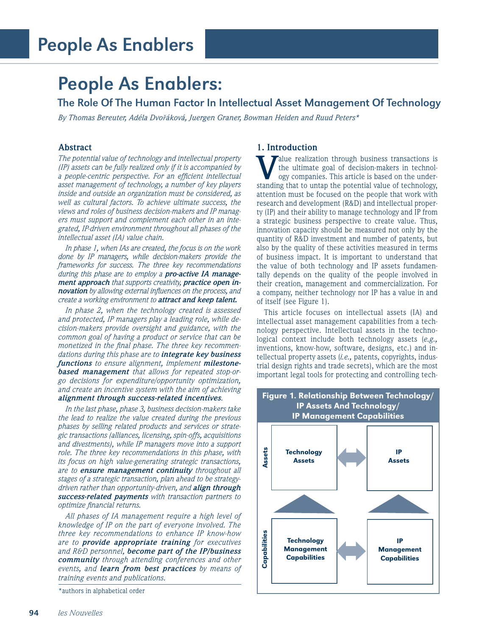## People As Enablers:

The Role Of The Human Factor In Intellectual Asset Management Of Technology

*By Thomas Bereuter, Adéla Dvořáková, Juergen Graner, Bowman Heiden and Ruud Peters\**

## **Abstract**

*The potential value of technology and intellectual property (IP) assets can be fully realized only if it is accompanied by a people-centric perspective. For an efficient intellectual asset management of technology, a number of key players inside and outside an organization must be considered, as well as cultural factors. To achieve ultimate success, the views and roles of business decision-makers and IP managers must support and complement each other in an integrated, IP-driven environment throughout all phases of the intellectual asset (IA) value chain.*

*In phase 1, when IAs are created, the focus is on the work done by IP managers, while decision-makers provide the frameworks for success. The three key recommendations during this phase are to employ a pro-active IA management approach that supports creativity, practice open innovation by allowing external influences on the process, and create a working environment to attract and keep talent.* 

*In phase 2, when the technology created is assessed and protected, IP managers play a leading role, while decision-makers provide oversight and guidance, with the common goal of having a product or service that can be monetized in the final phase. The three key recommendations during this phase are to integrate key business functions to ensure alignment, implement milestonebased management that allows for repeated stop-orgo decisions for expenditure/opportunity optimization, and create an incentive system with the aim of achieving alignment through success-related incentives.* 

*In the last phase, phase 3, business decision-makers take the lead to realize the value created during the previous phases by selling related products and services or strategic transactions (alliances, licensing, spin-offs, acquisitions and divestments), while IP managers move into a support role. The three key recommendations in this phase, with its focus on high value-generating strategic transactions, are to ensure management continuity throughout all stages of a strategic transaction, plan ahead to be strategydriven rather than opportunity-driven, and align through success-related payments with transaction partners to optimize financial returns.* 

*All phases of IA management require a high level of knowledge of IP on the part of everyone involved. The three key recommendations to enhance IP know-how are to provide appropriate training for executives and R&D personnel, become part of the IP/business community through attending conferences and other events, and learn from best practices by means of training events and publications.*

\*authors in alphabetical order

## **1. Introduction**

**V**alue realization through business transactions is<br>ogy companies. This article is based on the under-<br>etanding that to untan the potential value of technology the ultimate goal of decision-makers in technolstanding that to untap the potential value of technology, attention must be focused on the people that work with research and development (R&D) and intellectual property (IP) and their ability to manage technology and IP from a strategic business perspective to create value. Thus, innovation capacity should be measured not only by the quantity of R&D investment and number of patents, but also by the quality of these activities measured in terms of business impact. It is important to understand that the value of both technology and IP assets fundamentally depends on the quality of the people involved in their creation, management and commercialization. For a company, neither technology nor IP has a value in and of itself (see Figure 1).

This article focuses on intellectual assets (IA) and intellectual asset management capabilities from a technology perspective. Intellectual assets in the technological context include both technology assets (*e.g.,* inventions, know-how, software, designs, etc.) and intellectual property assets (*i.e.,* patents, copyrights, industrial design rights and trade secrets), which are the most important legal tools for protecting and controlling tech-

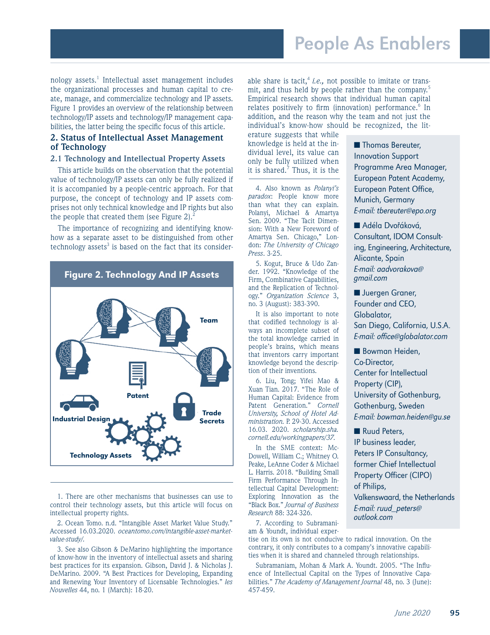nology assets.<sup>1</sup> Intellectual asset management includes the organizational processes and human capital to create, manage, and commercialize technology and IP assets. Figure 1 provides an overview of the relationship between technology/IP assets and technology/IP management capabilities, the latter being the specific focus of this article.

### **2. Status of Intellectual Asset Management of Technology**

#### **2.1 Technology and Intellectual Property Assets**

This article builds on the observation that the potential value of technology/IP assets can only be fully realized if it is accompanied by a people-centric approach. For that purpose, the concept of technology and IP assets comprises not only technical knowledge and IP rights but also the people that created them (see Figure 2). $<sup>2</sup>$ </sup>

The importance of recognizing and identifying knowhow as a separate asset to be distinguished from other technology assets<sup>3</sup> is based on the fact that its consider-



1. There are other mechanisms that businesses can use to control their technology assets, but this article will focus on intellectual property rights.

2. Ocean Tomo. n.d. "Intangible Asset Market Value Study." Accessed 16.03.2020. *oceantomo.com/intangible-asset-marketvalue-study/.*

3. See also Gibson & DeMarino highlighting the importance of know-how in the inventory of intellectual assets and sharing best practices for its expansion. Gibson, David J. & Nicholas J. DeMarino. 2009. "A Best Practices for Developing, Expanding and Renewing Your Inventory of Licensable Technologies." *les Nouvelles* 44, no. 1 (March): 18-20.

able share is tacit,<sup>4</sup> *i.e.*, not possible to imitate or transmit, and thus held by people rather than the company.<sup>5</sup> Empirical research shows that individual human capital relates positively to firm (innovation) performance.<sup>6</sup> In addition, and the reason why the team and not just the individual's know-how should be recognized, the lit-

erature suggests that while knowledge is held at the individual level, its value can only be fully utilized when it is shared.<sup>7</sup> Thus, it is the

4. Also known as *Polanyi's paradox*: People know more than what they can explain. Polanyi, Michael & Amartya Sen. 2009. "The Tacit Dimension: With a New Foreword of Amartya Sen. Chicago," London: *The University of Chicago Press*. 3-25.

5. Kogut, Bruce & Udo Zander. 1992. "Knowledge of the Firm, Combinative Capabilities, and the Replication of Technology." *Organization Science* 3, no. 3 (August): 383-390.

It is also important to note that codified technology is always an incomplete subset of the total knowledge carried in people's brains, which means that inventors carry important knowledge beyond the description of their inventions.

6. Liu, Tong; Yifei Mao & Xuan Tian. 2017. "The Role of Human Capital: Evidence from Patent Generation." *Cornell University, School of Hotel Administration.* P. 29-30. Accessed 16.03. 2020. *scholarship.sha. cornell.edu/workingpapers/37.*

In the SME context: Mc-Dowell, William C.; Whitney O. Peake, LeAnne Coder & Michael L. Harris. 2018. "Building Small Firm Performance Through Intellectual Capital Development: Exploring Innovation as the "Black Box." *Journal of Business Research* 88: 324-326.

7. According to Subramaniam & Youndt, individual exper-

tise on its own is not conducive to radical innovation. On the contrary, it only contributes to a company's innovative capabilities when it is shared and channeled through relationships.

Subramaniam, Mohan & Mark A. Youndt. 2005. "The Influence of Intellectual Capital on the Types of Innovative Capabilities." *The Academy of Management Journal* 48, no. 3 (June): 457-459.

■ Thomas Bereuter, Innovation Support Programme Area Manager, European Patent Academy, European Patent Office, Munich, Germany E-mail: tbereuter@epo.org

■ Adéla Dvořáková, Consultant, IDOM Consulting, Engineering, Architecture, Alicante, Spain E-mail: aadvorakova@ gmail.com

■ Juergen Graner, Founder and CEO, Globalator, San Diego, California, U.S.A. E-mail: office@globalator.com

■ Bowman Heiden, Co-Director, Center for Intellectual Property (CIP), University of Gothenburg, Gothenburg, Sweden E-mail: bowman.heiden@gu.se

■ Ruud Peters, IP business leader, Peters IP Consultancy, former Chief Intellectual Property Officer (CIPO) of Philips, Valkenswaard, the Netherlands E-mail: ruud\_peters@ outlook.com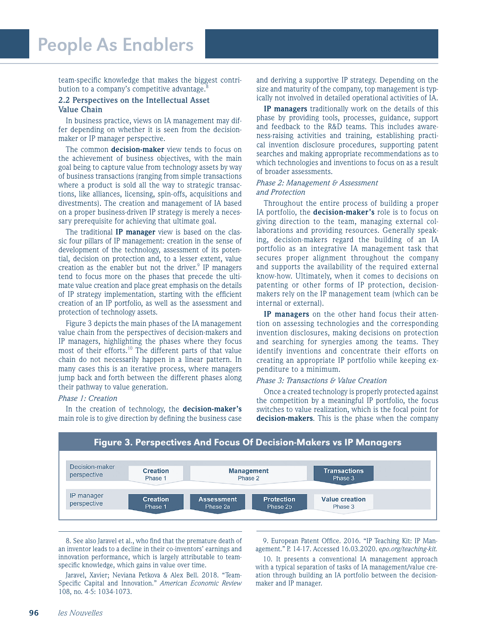team-specific knowledge that makes the biggest contribution to a company's competitive advantage. $\epsilon$ 

#### **2.2 Perspectives on the Intellectual Asset Value Chain**

In business practice, views on IA management may differ depending on whether it is seen from the decisionmaker or IP manager perspective.

The common **decision-maker** view tends to focus on the achievement of business objectives, with the main goal being to capture value from technology assets by way of business transactions (ranging from simple transactions where a product is sold all the way to strategic transactions, like alliances, licensing, spin-offs, acquisitions and divestments). The creation and management of IA based on a proper business-driven IP strategy is merely a necessary prerequisite for achieving that ultimate goal.

The traditional **IP manager** view is based on the classic four pillars of IP management: creation in the sense of development of the technology, assessment of its potential, decision on protection and, to a lesser extent, value creation as the enabler but not the driver.<sup>9</sup> IP managers tend to focus more on the phases that precede the ultimate value creation and place great emphasis on the details of IP strategy implementation, starting with the efficient creation of an IP portfolio, as well as the assessment and protection of technology assets.

Figure 3 depicts the main phases of the IA management value chain from the perspectives of decision-makers and IP managers, highlighting the phases where they focus most of their efforts.<sup>10</sup> The different parts of that value chain do not necessarily happen in a linear pattern. In many cases this is an iterative process, where managers jump back and forth between the different phases along their pathway to value generation.

#### *Phase 1: Creation*

In the creation of technology, the **decision-maker's** main role is to give direction by defining the business case and deriving a supportive IP strategy. Depending on the size and maturity of the company, top management is typically not involved in detailed operational activities of IA.

**IP managers** traditionally work on the details of this phase by providing tools, processes, guidance, support and feedback to the R&D teams. This includes awareness-raising activities and training, establishing practical invention disclosure procedures, supporting patent searches and making appropriate recommendations as to which technologies and inventions to focus on as a result of broader assessments.

#### *Phase 2: Management & Assessment and Protection*

Throughout the entire process of building a proper IA portfolio, the **decision-maker's** role is to focus on giving direction to the team, managing external collaborations and providing resources. Generally speaking, decision-makers regard the building of an IA portfolio as an integrative IA management task that secures proper alignment throughout the company and supports the availability of the required external know-how. Ultimately, when it comes to decisions on patenting or other forms of IP protection, decisionmakers rely on the IP management team (which can be internal or external).

**IP managers** on the other hand focus their attention on assessing technologies and the corresponding invention disclosures, making decisions on protection and searching for synergies among the teams. They identify inventions and concentrate their efforts on creating an appropriate IP portfolio while keeping expenditure to a minimum.

#### *Phase 3: Transactions & Value Creation*

Once a created technology is properly protected against the competition by a meaningful IP portfolio, the focus switches to value realization, which is the focal point for **decision-makers**. This is the phase when the company



8. See also Jaravel et al., who find that the premature death of an inventor leads to a decline in their co-inventors' earnings and innovation performance, which is largely attributable to teamspecific knowledge, which gains in value over time.

Jaravel, Xavier; Neviana Petkova & Alex Bell. 2018. "Team-Specific Capital and Innovation." *American Economic Review* 108, no. 4-5: 1034-1073.

9. European Patent Office. 2016. "IP Teaching Kit: IP Management." P. 14-17. Accessed 16.03.2020. e*po.org/teaching-kit.*

10. It presents a conventional IA management approach with a typical separation of tasks of IA management/value creation through building an IA portfolio between the decisionmaker and IP manager.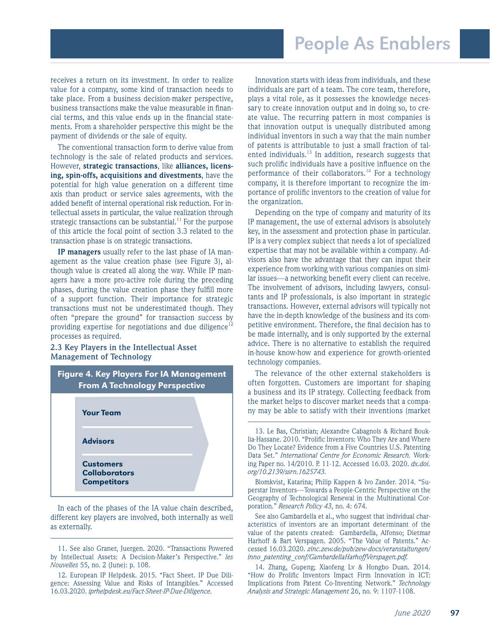receives a return on its investment. In order to realize value for a company, some kind of transaction needs to take place. From a business decision-maker perspective, business transactions make the value measurable in financial terms, and this value ends up in the financial statements. From a shareholder perspective this might be the payment of dividends or the sale of equity.

The conventional transaction form to derive value from technology is the sale of related products and services. However, **strategic transactions**, like **alliances, licensing, spin-offs, acquisitions and divestments**, have the potential for high value generation on a different time axis than product or service sales agreements, with the added benefit of internal operational risk reduction. For intellectual assets in particular, the value realization through strategic transactions can be substantial.<sup>11</sup> For the purpose of this article the focal point of section 3.3 related to the transaction phase is on strategic transactions.

**IP managers** usually refer to the last phase of IA management as the value creation phase (see Figure 3), although value is created all along the way. While IP managers have a more pro-active role during the preceding phases, during the value creation phase they fulfill more of a support function. Their importance for strategic transactions must not be underestimated though. They often "prepare the ground" for transaction success by providing expertise for negotiations and due diligence<sup>12</sup> processes as required.

### **2.3 Key Players in the Intellectual Asset Management of Technology**



In each of the phases of the IA value chain described, different key players are involved, both internally as well as externally.

11. See also Graner, Juergen. 2020. "Transactions Powered by Intellectual Assets: A Decision-Maker's Perspective." *les Nouvelles* 55, no. 2 (June): p. 108.

Innovation starts with ideas from individuals, and these individuals are part of a team. The core team, therefore, plays a vital role, as it possesses the knowledge necessary to create innovation output and in doing so, to create value. The recurring pattern in most companies is that innovation output is unequally distributed among individual inventors in such a way that the main number of patents is attributable to just a small fraction of talented individuals. $^{13}$  In addition, research suggests that such prolific individuals have a positive influence on the performance of their collaborators.<sup>14</sup> For a technology company, it is therefore important to recognize the importance of prolific inventors to the creation of value for the organization.

Depending on the type of company and maturity of its IP management, the use of external advisors is absolutely key, in the assessment and protection phase in particular. IP is a very complex subject that needs a lot of specialized expertise that may not be available within a company. Advisors also have the advantage that they can input their experience from working with various companies on similar issues—a networking benefit every client can receive. The involvement of advisors, including lawyers, consultants and IP professionals, is also important in strategic transactions. However, external advisors will typically not have the in-depth knowledge of the business and its competitive environment. Therefore, the final decision has to be made internally, and is only supported by the external advice. There is no alternative to establish the required in-house know-how and experience for growth-oriented technology companies.

The relevance of the other external stakeholders is often forgotten. Customers are important for shaping a business and its IP strategy. Collecting feedback from the market helps to discover market needs that a company may be able to satisfy with their inventions (market

Blomkvist, Katarina; Philip Kappen & Ivo Zander. 2014. "Superstar Inventors—Towards a People-Centric Perspective on the Geography of Technological Renewal in the Multinational Corporation." *Research Policy 43*, no. 4: 674.

See also Gambardella et al., who suggest that individual characteristics of inventors are an important determinant of the value of the patents created: Gambardella, Alfonso; Dietmar Harhoff & Bart Verspagen. 2005. "The Value of Patents." Accessed 16.03.2020. *zinc.zew.de/pub/zew-docs/veranstaltungen/ inno\_patenting\_conf/GambardellaHarhoffVerspagen.pdf.*

14. Zhang, Gupeng; Xiaofeng Lv & Hongbo Duan. 2014. "How do Prolific Inventors Impact Firm Innovation in ICT: Implications from Patent Co-Inventing Network." *Technology Analysis and Strategic Management* 26, no. 9: 1107-1108.

<sup>12.</sup> European IP Helpdesk. 2015. "Fact Sheet. IP Due Diligence: Assessing Value and Risks of Intangibles." Accessed 16.03.2020. *iprhelpdesk.eu/Fact-Sheet-IP-Due-Diligence.*

<sup>13.</sup> Le Bas, Christian; Alexandre Cabagnols & Richard Bouklia-Hassane. 2010. "Prolific Inventors: Who They Are and Where Do They Locate? Evidence from a Five Countries U.S. Patenting Data Set." *International Centre for Economic Research.* Working Paper no. 14/2010. P. 11-12. Accessed 16.03. 2020. *dx.doi. org/10.2139/ssrn.1625743*.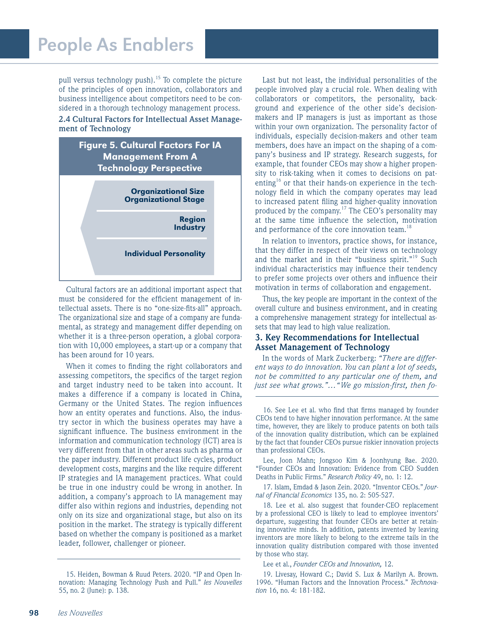pull versus technology push).<sup>15</sup> To complete the picture of the principles of open innovation, collaborators and business intelligence about competitors need to be considered in a thorough technology management process.

#### **2.4 Cultural Factors for Intellectual Asset Management of Technology**



Cultural factors are an additional important aspect that must be considered for the efficient management of intellectual assets. There is no "one-size-fits-all" approach. The organizational size and stage of a company are fundamental, as strategy and management differ depending on whether it is a three-person operation, a global corporation with 10,000 employees, a start-up or a company that has been around for 10 years.

When it comes to finding the right collaborators and assessing competitors, the specifics of the target region and target industry need to be taken into account. It makes a difference if a company is located in China, Germany or the United States. The region influences how an entity operates and functions. Also, the industry sector in which the business operates may have a significant influence. The business environment in the information and communication technology (ICT) area is very different from that in other areas such as pharma or the paper industry. Different product life cycles, product development costs, margins and the like require different IP strategies and IA management practices. What could be true in one industry could be wrong in another. In addition, a company's approach to IA management may differ also within regions and industries, depending not only on its size and organizational stage, but also on its position in the market. The strategy is typically different based on whether the company is positioned as a market leader, follower, challenger or pioneer.

Last but not least, the individual personalities of the people involved play a crucial role. When dealing with collaborators or competitors, the personality, background and experience of the other side's decisionmakers and IP managers is just as important as those within your own organization. The personality factor of individuals, especially decision-makers and other team members, does have an impact on the shaping of a company's business and IP strategy. Research suggests, for example, that founder CEOs may show a higher propensity to risk-taking when it comes to decisions on patenting<sup>16</sup> or that their hands-on experience in the technology field in which the company operates may lead to increased patent filing and higher-quality innovation produced by the company.<sup>17</sup> The CEO's personality may at the same time influence the selection, motivation and performance of the core innovation team.<sup>18</sup>

In relation to inventors, practice shows, for instance, that they differ in respect of their views on technology and the market and in their "business spirit."<sup>19</sup> Such individual characteristics may influence their tendency to prefer some projects over others and influence their motivation in terms of collaboration and engagement.

Thus, the key people are important in the context of the overall culture and business environment, and in creating a comprehensive management strategy for intellectual assets that may lead to high value realization.

### **3. Key Recommendations for Intellectual Asset Management of Technology**

In the words of Mark Zuckerberg: *"There are different ways to do innovation. You can plant a lot of seeds, not be committed to any particular one of them, and just see what grows."…"We go mission-first, then fo-*

16. See Lee et al. who find that firms managed by founder CEOs tend to have higher innovation performance. At the same time, however, they are likely to produce patents on both tails of the innovation quality distribution, which can be explained by the fact that founder CEOs pursue riskier innovation projects than professional CEOs.

Lee, Joon Mahn; Jongsoo Kim & Joonhyung Bae. 2020. "Founder CEOs and Innovation: Evidence from CEO Sudden Deaths in Public Firms." *Research Policy* 49, no. 1: 12.

17. Islam, Emdad & Jason Zein. 2020. "Inventor CEOs." *Journal of Financial Economics* 135, no. 2: 505-527.

18. Lee et al. also suggest that founder-CEO replacement by a professional CEO is likely to lead to employee inventors' departure, suggesting that founder CEOs are better at retaining innovative minds. In addition, patents invented by leaving inventors are more likely to belong to the extreme tails in the innovation quality distribution compared with those invented by those who stay.

Lee et al., *Founder CEOs and Innovation,* 12.

19. Livesay, Howard C.; David S. Lux & Marilyn A. Brown. 1996. "Human Factors and the Innovation Process." *Technovation* 16, no. 4: 181-182.

<sup>15.</sup> Heiden, Bowman & Ruud Peters. 2020. "IP and Open Innovation: Managing Technology Push and Pull." *les Nouvelles* 55, no. 2 (June): p. 138.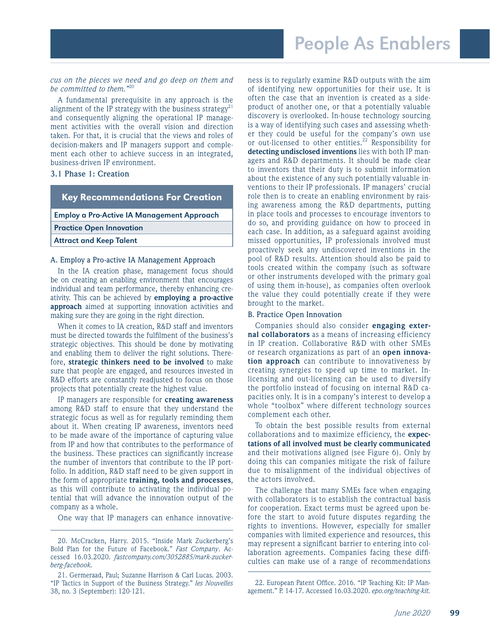#### *cus on the pieces we need and go deep on them and be committed to them."*<sup>20</sup>

A fundamental prerequisite in any approach is the alignment of the IP strategy with the business strategy<sup>21</sup> and consequently aligning the operational IP management activities with the overall vision and direction taken. For that, it is crucial that the views and roles of decision-makers and IP managers support and complement each other to achieve success in an integrated, business-driven IP environment.

#### **3.1 Phase 1: Creation**

| <b>Key Recommendations For Creation</b>           |
|---------------------------------------------------|
| <b>Employ a Pro-Active IA Management Approach</b> |
| <b>Practice Open Innovation</b>                   |
| <b>Attract and Keep Talent</b>                    |
|                                                   |

#### A. Employ a Pro-active IA Management Approach

In the IA creation phase, management focus should be on creating an enabling environment that encourages individual and team performance, thereby enhancing creativity. This can be achieved by **employing a pro-active approach** aimed at supporting innovation activities and making sure they are going in the right direction.

When it comes to IA creation, R&D staff and inventors must be directed towards the fulfilment of the business's strategic objectives. This should be done by motivating and enabling them to deliver the right solutions. Therefore, **strategic thinkers need to be involved** to make sure that people are engaged, and resources invested in R&D efforts are constantly readjusted to focus on those projects that potentially create the highest value.

IP managers are responsible for **creating awareness**  among R&D staff to ensure that they understand the strategic focus as well as for regularly reminding them about it. When creating IP awareness, inventors need to be made aware of the importance of capturing value from IP and how that contributes to the performance of the business. These practices can significantly increase the number of inventors that contribute to the IP portfolio. In addition, R&D staff need to be given support in the form of appropriate **training, tools and processes**, as this will contribute to activating the individual potential that will advance the innovation output of the company as a whole.

One way that IP managers can enhance innovative-

ness is to regularly examine R&D outputs with the aim of identifying new opportunities for their use. It is often the case that an invention is created as a sideproduct of another one, or that a potentially valuable discovery is overlooked. In-house technology sourcing is a way of identifying such cases and assessing whether they could be useful for the company's own use or out-licensed to other entities.<sup>22</sup> Responsibility for **detecting undisclosed inventions** lies with both IP managers and R&D departments. It should be made clear to inventors that their duty is to submit information about the existence of any such potentially valuable inventions to their IP professionals. IP managers' crucial role then is to create an enabling environment by raising awareness among the R&D departments, putting in place tools and processes to encourage inventors to do so, and providing guidance on how to proceed in each case. In addition, as a safeguard against avoiding missed opportunities, IP professionals involved must proactively seek any undiscovered inventions in the pool of R&D results. Attention should also be paid to tools created within the company (such as software or other instruments developed with the primary goal of using them in-house), as companies often overlook the value they could potentially create if they were brought to the market.

#### B. Practice Open Innovation

Companies should also consider **engaging external collaborators** as a means of increasing efficiency in IP creation. Collaborative R&D with other SMEs or research organizations as part of an **open innovation approach** can contribute to innovativeness by creating synergies to speed up time to market. Inlicensing and out-licensing can be used to diversify the portfolio instead of focusing on internal R&D capacities only. It is in a company's interest to develop a whole "toolbox" where different technology sources complement each other.

To obtain the best possible results from external collaborations and to maximize efficiency, the **expectations of all involved must be clearly communicated**  and their motivations aligned (see Figure 6). Only by doing this can companies mitigate the risk of failure due to misalignment of the individual objectives of the actors involved.

The challenge that many SMEs face when engaging with collaborators is to establish the contractual basis for cooperation. Exact terms must be agreed upon before the start to avoid future disputes regarding the rights to inventions. However, especially for smaller companies with limited experience and resources, this may represent a significant barrier to entering into collaboration agreements. Companies facing these difficulties can make use of a range of recommendations

<sup>20.</sup> McCracken, Harry. 2015. "Inside Mark Zuckerberg's Bold Plan for the Future of Facebook." *Fast Company*. Accessed 16.03.2020. *fastcompany.com/3052885/mark-zuckerberg-facebook.*

<sup>21.</sup> Germeraad, Paul; Suzanne Harrison & Carl Lucas. 2003. "IP Tactics in Support of the Business Strategy." *les Nouvelles* 38, no. 3 (September): 120-121.

<sup>22.</sup> European Patent Office. 2016. "IP Teaching Kit: IP Management." P. 14-17. Accessed 16.03.2020. *epo.org/teaching-kit.*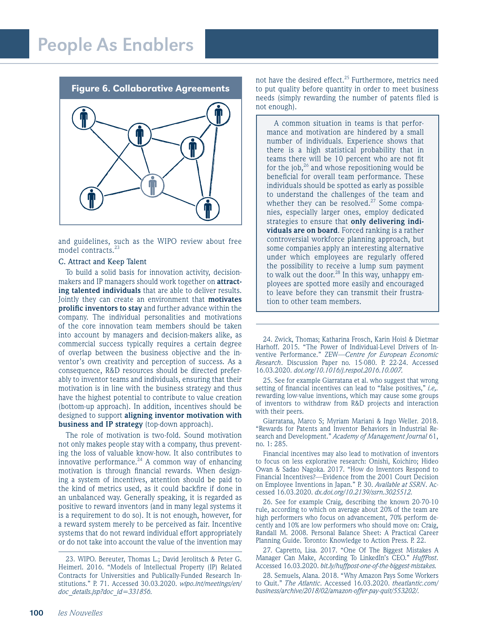Figure 6. Collaborative Agreements



and guidelines, such as the WIPO review about free model contracts.<sup>23</sup>

#### C. Attract and Keep Talent

To build a solid basis for innovation activity, decisionmakers and IP managers should work together on **attracting talented individuals** that are able to deliver results. Jointly they can create an environment that **motivates prolific inventors to stay** and further advance within the company. The individual personalities and motivations of the core innovation team members should be taken into account by managers and decision-makers alike, as commercial success typically requires a certain degree of overlap between the business objective and the inventor's own creativity and perception of success. As a consequence, R&D resources should be directed preferably to inventor teams and individuals, ensuring that their motivation is in line with the business strategy and thus have the highest potential to contribute to value creation (bottom-up approach). In addition, incentives should be designed to support **aligning inventor motivation with business and IP strategy** (top-down approach).

The role of motivation is two-fold. Sound motivation not only makes people stay with a company, thus preventing the loss of valuable know-how. It also contributes to innovative performance. $^{24}$  A common way of enhancing motivation is through financial rewards. When designing a system of incentives, attention should be paid to the kind of metrics used, as it could backfire if done in an unbalanced way. Generally speaking, it is regarded as positive to reward inventors (and in many legal systems it is a requirement to do so). It is not enough, however, for a reward system merely to be perceived as fair. Incentive systems that do not reward individual effort appropriately or do not take into account the value of the invention may

not have the desired effect.<sup>25</sup> Furthermore, metrics need to put quality before quantity in order to meet business needs (simply rewarding the number of patents filed is not enough).

A common situation in teams is that performance and motivation are hindered by a small number of individuals. Experience shows that there is a high statistical probability that in teams there will be 10 percent who are not fit for the job, $^{26}$  and whose repositioning would be beneficial for overall team performance. These individuals should be spotted as early as possible to understand the challenges of the team and whether they can be resolved. $27$  Some companies, especially larger ones, employ dedicated strategies to ensure that **only delivering individuals are on board**. Forced ranking is a rather controversial workforce planning approach, but some companies apply an interesting alternative under which employees are regularly offered the possibility to receive a lump sum payment to walk out the door.<sup>28</sup> In this way, unhappy employees are spotted more easily and encouraged to leave before they can transmit their frustration to other team members.

24. Zwick, Thomas; Katharina Frosch, Karin Hoisl & Dietmar Harhoff. 2015. "The Power of Individual-Level Drivers of Inventive Performance." ZEW—*Centre for European Economic Research*. Discussion Paper no. 15-080. P. 22-24. Accessed 16.03.2020. *doi.org/10.1016/j.respol.2016.10.007.*

25. See for example Giarratana et al. who suggest that wrong setting of financial incentives can lead to "false positives," *i.e,.* rewarding low-value inventions, which may cause some groups of inventors to withdraw from R&D projects and interaction with their peers.

Giarratana, Marco S; Myriam Mariani & Ingo Weller. 2018. "Rewards for Patents and Inventor Behaviors in Industrial Research and Development." *Academy of Management Journal* 61, no. 1: 285.

Financial incentives may also lead to motivation of inventors to focus on less explorative research: Onishi, Koichiro; Hideo Owan & Sadao Nagoka. 2017. "How do Inventors Respond to Financial Incentives?—Evidence from the 2001 Court Decision on Employee Inventions in Japan." P. 30. *Available at SSRN*. Accessed 16.03.2020. *dx.doi.org/10.2139/ssrn.3025512.*

26. See for example Craig, describing the known 20-70-10 rule, according to which on average about 20% of the team are high performers who focus on advancement, 70% perform decently and 10% are low performers who should move on: Craig, Randall M. 2008. Personal Balance Sheet: A Practical Career Planning Guide. Toronto: Knowledge to Action Press. P. 22.

27. Capretto, Lisa. 2017. "One Of The Biggest Mistakes A Manager Can Make, According To LinkedIn's CEO." *HuffPost*. Accessed 16.03.2020. *bit.ly/huffpost-one-of-the-biggest-mistakes.*

28. Semuels, Alana. 2018. "Why Amazon Pays Some Workers to Quit." *The Atlantic*. Accessed 16.03.2020. *theatlantic.com/ business/archive/2018/02/amazon-offer-pay-quit/553202/.*

<sup>23.</sup> WIPO. Bereuter, Thomas L.; David Jerolitsch & Peter G. Heimerl. 2016. "Models of Intellectual Property (IP) Related Contracts for Universities and Publically-Funded Research Institutions." P. 71. Accessed 30.03.2020. *wipo.int/meetings/en/ doc\_details.jsp?doc\_id=331856.*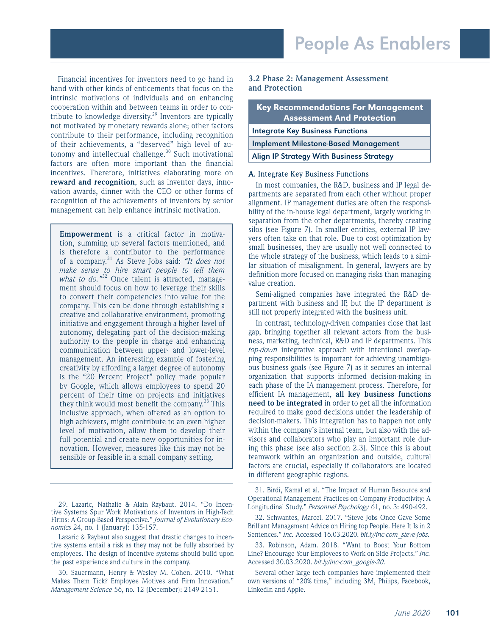Financial incentives for inventors need to go hand in hand with other kinds of enticements that focus on the intrinsic motivations of individuals and on enhancing cooperation within and between teams in order to contribute to knowledge diversity.<sup>29</sup> Inventors are typically not motivated by monetary rewards alone; other factors contribute to their performance, including recognition of their achievements, a "deserved" high level of autonomy and intellectual challenge.<sup>30</sup> Such motivational factors are often more important than the financial incentives. Therefore, initiatives elaborating more on **reward and recognition**, such as inventor days, innovation awards, dinner with the CEO or other forms of recognition of the achievements of inventors by senior management can help enhance intrinsic motivation.

**Empowerment** is a critical factor in motivation, summing up several factors mentioned, and is therefore a contributor to the performance of a company.31 As Steve Jobs said: *"It does not make sense to hire smart people to tell them what to do.*"<sup>32</sup> Once talent is attracted, management should focus on how to leverage their skills to convert their competencies into value for the company. This can be done through establishing a creative and collaborative environment, promoting initiative and engagement through a higher level of autonomy, delegating part of the decision-making authority to the people in charge and enhancing communication between upper- and lower-level management. An interesting example of fostering creativity by affording a larger degree of autonomy is the "20 Percent Project" policy made popular by Google, which allows employees to spend 20 percent of their time on projects and initiatives they think would most benefit the company.<sup>33</sup> This inclusive approach, when offered as an option to high achievers, might contribute to an even higher level of motivation, allow them to develop their full potential and create new opportunities for innovation. However, measures like this may not be sensible or feasible in a small company setting.

Lazaric & Raybaut also suggest that drastic changes to incentive systems entail a risk as they may not be fully absorbed by employees. The design of incentive systems should build upon the past experience and culture in the company.

30. Sauermann, Henry & Wesley M. Cohen. 2010. "What Makes Them Tick? Employee Motives and Firm Innovation." *Management Science* 56, no. 12 (December): 2149-2151.

#### **3.2 Phase 2: Management Assessment and Protection**

| <b>Key Recommendations For Management</b><br><b>Assessment And Protection</b> |
|-------------------------------------------------------------------------------|
| <b>Integrate Key Business Functions</b>                                       |
| <b>Implement Milestone-Based Management</b>                                   |
| <b>Align IP Strategy With Business Strategy</b>                               |
|                                                                               |

#### **A**. Integrate Key Business Functions

In most companies, the R&D, business and IP legal departments are separated from each other without proper alignment. IP management duties are often the responsibility of the in-house legal department, largely working in separation from the other departments, thereby creating silos (see Figure 7). In smaller entities, external IP lawyers often take on that role. Due to cost optimization by small businesses, they are usually not well connected to the whole strategy of the business, which leads to a similar situation of misalignment. In general, lawyers are by definition more focused on managing risks than managing value creation.

Semi-aligned companies have integrated the R&D department with business and IP, but the IP department is still not properly integrated with the business unit.

In contrast, technology-driven companies close that last gap, bringing together all relevant actors from the business, marketing, technical, R&D and IP departments. This *top-down* integrative approach with intentional overlapping responsibilities is important for achieving unambiguous business goals (see Figure 7) as it secures an internal organization that supports informed decision-making in each phase of the IA management process. Therefore, for efficient IA management, **all key business functions need to be integrated** in order to get all the information required to make good decisions under the leadership of decision-makers. This integration has to happen not only within the company's internal team, but also with the advisors and collaborators who play an important role during this phase (see also section 2.3). Since this is about teamwork within an organization and outside, cultural factors are crucial, especially if collaborators are located in different geographic regions.

31. Birdi, Kamal et al. "The Impact of Human Resource and Operational Management Practices on Company Productivity: A Longitudinal Study." *Personnel Psychology* 61, no. 3: 490-492.

32. Schwantes, Marcel. 2017. "Steve Jobs Once Gave Some Brilliant Management Advice on Hiring top People. Here It Is in 2 Sentences." *Inc.* Accessed 16.03.2020. *bit.ly/inc-com\_steve-jobs.*

33. Robinson, Adam. 2018. "Want to Boost Your Bottom Line? Encourage Your Employees to Work on Side Projects." *Inc.* Accessed 30.03.2020. *bit.ly/inc-com\_google-20.*

Several other large tech companies have implemented their own versions of "20% time," including 3M, Philips, Facebook, LinkedIn and Apple.

<sup>29.</sup> Lazaric, Nathalie & Alain Raybaut. 2014. "Do Incentive Systems Spur Work Motivations of Inventors in High-Tech Firms: A Group-Based Perspective." *Journal of Evolutionary Economics* 24, no. 1 (January): 135-157.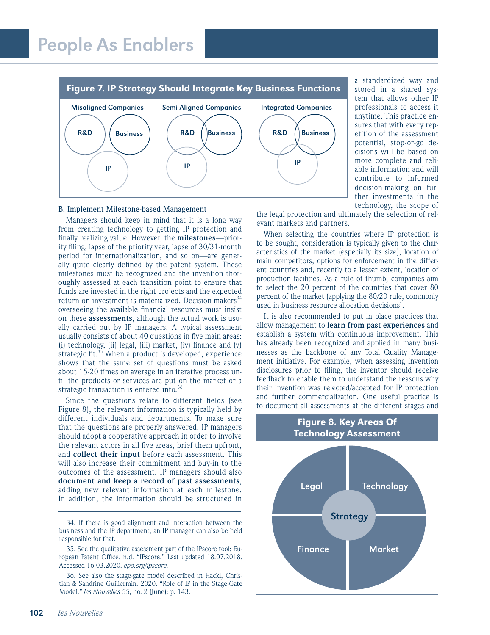

#### B. Implement Milestone-based Management

Managers should keep in mind that it is a long way from creating technology to getting IP protection and finally realizing value. However, the **milestones**—priority filing, lapse of the priority year, lapse of 30/31-month period for internationalization, and so on—are generally quite clearly defined by the patent system. These milestones must be recognized and the invention thoroughly assessed at each transition point to ensure that funds are invested in the right projects and the expected return on investment is materialized. Decision-makers<sup>34</sup> overseeing the available financial resources must insist on these **assessments**, although the actual work is usually carried out by IP managers. A typical assessment usually consists of about 40 questions in five main areas: (i) technology, (ii) legal, (iii) market, (iv) finance and (v) strategic fit.<sup>35</sup> When a product is developed, experience shows that the same set of questions must be asked about 15-20 times on average in an iterative process until the products or services are put on the market or a strategic transaction is entered into.<sup>36</sup>

Since the questions relate to different fields (see Figure 8), the relevant information is typically held by different individuals and departments. To make sure that the questions are properly answered, IP managers should adopt a cooperative approach in order to involve the relevant actors in all five areas, brief them upfront, and **collect their input** before each assessment. This will also increase their commitment and buy-in to the outcomes of the assessment. IP managers should also **document and keep a record of past assessments**, adding new relevant information at each milestone. In addition, the information should be structured in a standardized way and stored in a shared system that allows other IP professionals to access it anytime. This practice ensures that with every repetition of the assessment potential, stop-or-go decisions will be based on more complete and reliable information and will contribute to informed decision-making on further investments in the technology, the scope of

the legal protection and ultimately the selection of relevant markets and partners.

When selecting the countries where IP protection is to be sought, consideration is typically given to the characteristics of the market (especially its size), location of main competitors, options for enforcement in the different countries and, recently to a lesser extent, location of production facilities. As a rule of thumb, companies aim to select the 20 percent of the countries that cover 80 percent of the market (applying the 80/20 rule, commonly used in business resource allocation decisions).

It is also recommended to put in place practices that allow management to **learn from past experiences** and establish a system with continuous improvement. This has already been recognized and applied in many businesses as the backbone of any Total Quality Management initiative. For example, when assessing invention disclosures prior to filing, the inventor should receive feedback to enable them to understand the reasons why their invention was rejected/accepted for IP protection and further commercialization. One useful practice is to document all assessments at the different stages and



<sup>34.</sup> If there is good alignment and interaction between the business and the IP department, an IP manager can also be held responsible for that.

<sup>35.</sup> See the qualitative assessment part of the IPscore tool: European Patent Office. n.d. "IPscore." Last updated 18.07.2018. Accessed 16.03.2020. *epo.org/ipscore.*

<sup>36.</sup> See also the stage-gate model described in Hackl, Christian & Sandrine Guillermin. 2020. "Role of IP in the Stage-Gate Model." *les Nouvelles* 55, no. 2 (June): p. 143.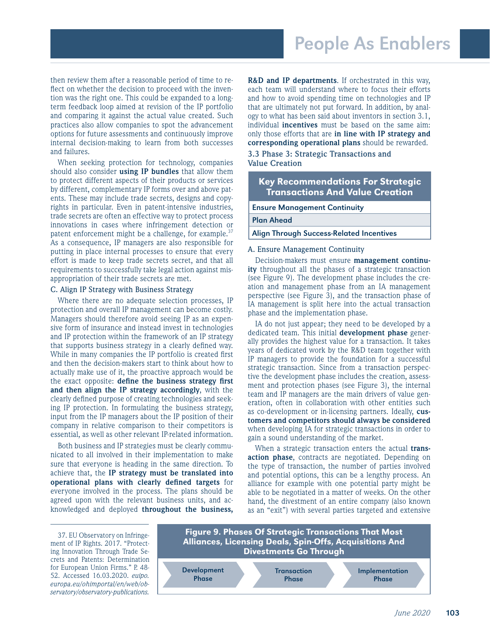then review them after a reasonable period of time to reflect on whether the decision to proceed with the invention was the right one. This could be expanded to a longterm feedback loop aimed at revision of the IP portfolio and comparing it against the actual value created. Such practices also allow companies to spot the advancement options for future assessments and continuously improve internal decision-making to learn from both successes and failures.

When seeking protection for technology, companies should also consider **using IP bundles** that allow them to protect different aspects of their products or services by different, complementary IP forms over and above patents. These may include trade secrets, designs and copyrights in particular. Even in patent-intensive industries, trade secrets are often an effective way to protect process innovations in cases where infringement detection or patent enforcement might be a challenge, for example. $37$ As a consequence, IP managers are also responsible for putting in place internal processes to ensure that every effort is made to keep trade secrets secret, and that all requirements to successfully take legal action against misappropriation of their trade secrets are met.

#### C. Align IP Strategy with Business Strategy

Where there are no adequate selection processes, IP protection and overall IP management can become costly. Managers should therefore avoid seeing IP as an expensive form of insurance and instead invest in technologies and IP protection within the framework of an IP strategy that supports business strategy in a clearly defined way. While in many companies the IP portfolio is created first and then the decision-makers start to think about how to actually make use of it, the proactive approach would be the exact opposite: **define the business strategy first and then align the IP strategy accordingly**, with the clearly defined purpose of creating technologies and seeking IP protection. In formulating the business strategy, input from the IP managers about the IP position of their company in relative comparison to their competitors is essential, as well as other relevant IP-related information.

Both business and IP strategies must be clearly communicated to all involved in their implementation to make sure that everyone is heading in the same direction. To achieve that, the **IP strategy must be translated into operational plans with clearly defined targets** for everyone involved in the process. The plans should be agreed upon with the relevant business units, and acknowledged and deployed **throughout the business,**  **R&D and IP departments**. If orchestrated in this way, each team will understand where to focus their efforts and how to avoid spending time on technologies and IP that are ultimately not put forward. In addition, by analogy to what has been said about inventors in section 3.1, individual **incentives** must be based on the same aim: only those efforts that are **in line with IP strategy and corresponding operational plans** should be rewarded.

#### **3.3 Phase 3: Strategic Transactions and Value Creation**

## Key Recommendations For Strategic Transactions And Value Creation

Ensure Management Continuity

Plan Ahead

#### Align Through Success-Related Incentives

#### A. Ensure Management Continuity

Decision-makers must ensure **management continuity** throughout all the phases of a strategic transaction (see Figure 9). The development phase includes the creation and management phase from an IA management perspective (see Figure 3), and the transaction phase of IA management is split here into the actual transaction phase and the implementation phase.

IA do not just appear; they need to be developed by a dedicated team. This initial **development phase** generally provides the highest value for a transaction. It takes years of dedicated work by the R&D team together with IP managers to provide the foundation for a successful strategic transaction. Since from a transaction perspective the development phase includes the creation, assessment and protection phases (see Figure 3), the internal team and IP managers are the main drivers of value generation, often in collaboration with other entities such as co-development or in-licensing partners. Ideally, **customers and competitors should always be considered** when developing IA for strategic transactions in order to gain a sound understanding of the market.

When a strategic transaction enters the actual **transaction phase**, contracts are negotiated. Depending on the type of transaction, the number of parties involved and potential options, this can be a lengthy process. An alliance for example with one potential party might be able to be negotiated in a matter of weeks. On the other hand, the divestment of an entire company (also known as an "exit") with several parties targeted and extensive

37. EU Observatory on Infringement of IP Rights. 2017. "Protecting Innovation Through Trade Secrets and Patents: Determination for European Union Firms." P. 48- 52. Accessed 16.03.2020. *euipo. europa.eu/ohimportal/en/web/observatory/observatory-publications.*

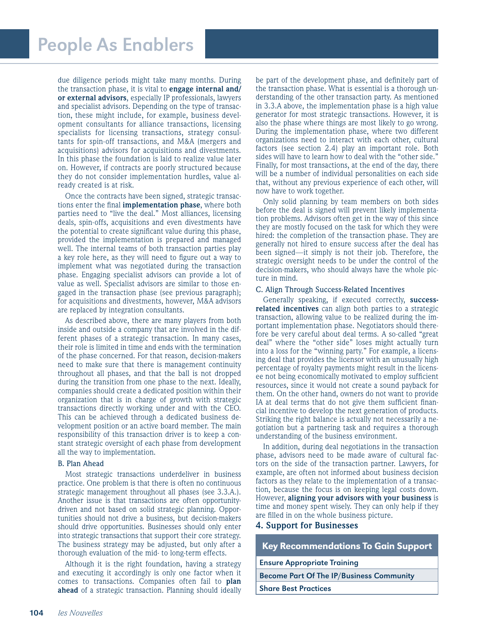due diligence periods might take many months. During the transaction phase, it is vital to **engage internal and/ or external advisors**, especially IP professionals, lawyers and specialist advisors. Depending on the type of transaction, these might include, for example, business development consultants for alliance transactions, licensing specialists for licensing transactions, strategy consultants for spin-off transactions, and M&A (mergers and acquisitions) advisors for acquisitions and divestments. In this phase the foundation is laid to realize value later on. However, if contracts are poorly structured because they do not consider implementation hurdles, value already created is at risk.

Once the contracts have been signed, strategic transactions enter the final **implementation phase**, where both parties need to "live the deal." Most alliances, licensing deals, spin-offs, acquisitions and even divestments have the potential to create significant value during this phase, provided the implementation is prepared and managed well. The internal teams of both transaction parties play a key role here, as they will need to figure out a way to implement what was negotiated during the transaction phase. Engaging specialist advisors can provide a lot of value as well. Specialist advisors are similar to those engaged in the transaction phase (see previous paragraph); for acquisitions and divestments, however, M&A advisors are replaced by integration consultants.

As described above, there are many players from both inside and outside a company that are involved in the different phases of a strategic transaction. In many cases, their role is limited in time and ends with the termination of the phase concerned. For that reason, decision-makers need to make sure that there is management continuity throughout all phases, and that the ball is not dropped during the transition from one phase to the next. Ideally, companies should create a dedicated position within their organization that is in charge of growth with strategic transactions directly working under and with the CEO. This can be achieved through a dedicated business development position or an active board member. The main responsibility of this transaction driver is to keep a constant strategic oversight of each phase from development all the way to implementation.

#### B. Plan Ahead

Most strategic transactions underdeliver in business practice. One problem is that there is often no continuous strategic management throughout all phases (see 3.3.A.). Another issue is that transactions are often opportunitydriven and not based on solid strategic planning. Opportunities should not drive a business, but decision-makers should drive opportunities. Businesses should only enter into strategic transactions that support their core strategy. The business strategy may be adjusted, but only after a thorough evaluation of the mid- to long-term effects.

Although it is the right foundation, having a strategy and executing it accordingly is only one factor when it comes to transactions. Companies often fail to **plan ahead** of a strategic transaction. Planning should ideally

be part of the development phase, and definitely part of the transaction phase. What is essential is a thorough understanding of the other transaction party. As mentioned in 3.3.A above, the implementation phase is a high value generator for most strategic transactions. However, it is also the phase where things are most likely to go wrong. During the implementation phase, where two different organizations need to interact with each other, cultural factors (see section 2.4) play an important role. Both sides will have to learn how to deal with the "other side." Finally, for most transactions, at the end of the day, there will be a number of individual personalities on each side that, without any previous experience of each other, will now have to work together.

Only solid planning by team members on both sides before the deal is signed will prevent likely implementation problems. Advisors often get in the way of this since they are mostly focused on the task for which they were hired: the completion of the transaction phase. They are generally not hired to ensure success after the deal has been signed—it simply is not their job. Therefore, the strategic oversight needs to be under the control of the decision-makers, who should always have the whole picture in mind.

#### C. Align Through Success-Related Incentives

Generally speaking, if executed correctly, **successrelated incentives** can align both parties to a strategic transaction, allowing value to be realized during the important implementation phase. Negotiators should therefore be very careful about deal terms. A so-called "great deal" where the "other side" loses might actually turn into a loss for the "winning party." For example, a licensing deal that provides the licensor with an unusually high percentage of royalty payments might result in the licensee not being economically motivated to employ sufficient resources, since it would not create a sound payback for them. On the other hand, owners do not want to provide IA at deal terms that do not give them sufficient financial incentive to develop the next generation of products. Striking the right balance is actually not necessarily a negotiation but a partnering task and requires a thorough understanding of the business environment.

In addition, during deal negotiations in the transaction phase, advisors need to be made aware of cultural factors on the side of the transaction partner. Lawyers, for example, are often not informed about business decision factors as they relate to the implementation of a transaction, because the focus is on keeping legal costs down. However, **aligning your advisors with your business** is time and money spent wisely. They can only help if they are filled in on the whole business picture.

#### **4. Support for Businesses**

### Key Recommendations To Gain Support

Ensure Appropriate Training

Become Part Of The IP/Business Community

Share Best Practices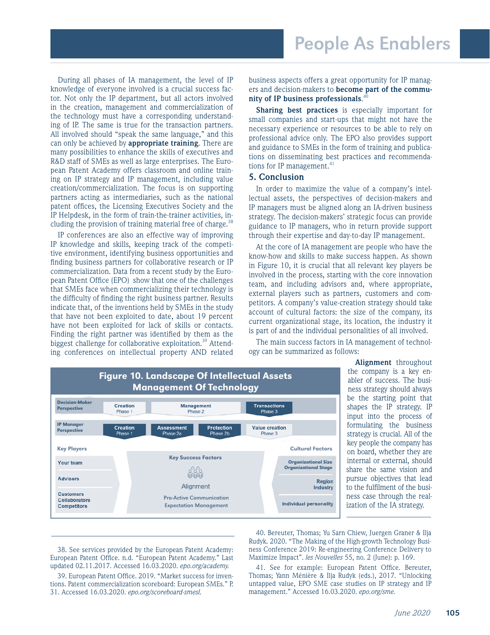During all phases of IA management, the level of IP knowledge of everyone involved is a crucial success factor. Not only the IP department, but all actors involved in the creation, management and commercialization of the technology must have a corresponding understanding of IP. The same is true for the transaction partners. All involved should "speak the same language," and this can only be achieved by **appropriate training**. There are many possibilities to enhance the skills of executives and R&D staff of SMEs as well as large enterprises. The European Patent Academy offers classroom and online training on IP strategy and IP management, including value creation/commercialization. The focus is on supporting partners acting as intermediaries, such as the national patent offices, the Licensing Executives Society and the IP Helpdesk, in the form of train-the-trainer activities, including the provision of training material free of charge. $38$ 

IP conferences are also an effective way of improving IP knowledge and skills, keeping track of the competitive environment, identifying business opportunities and finding business partners for collaborative research or IP commercialization. Data from a recent study by the European Patent Office (EPO) show that one of the challenges that SMEs face when commercializing their technology is the difficulty of finding the right business partner. Results indicate that, of the inventions held by SMEs in the study that have not been exploited to date, about 19 percent have not been exploited for lack of skills or contacts. Finding the right partner was identified by them as the biggest challenge for collaborative exploitation.<sup>39</sup> Attending conferences on intellectual property AND related

business aspects offers a great opportunity for IP managers and decision-makers to **become part of the community of IP business professionals**. 40

**Sharing best practices** is especially important for small companies and start-ups that might not have the necessary experience or resources to be able to rely on professional advice only. The EPO also provides support and guidance to SMEs in the form of training and publications on disseminating best practices and recommendations for IP management.<sup>41</sup>

### **5. Conclusion**

In order to maximize the value of a company's intellectual assets, the perspectives of decision-makers and IP managers must be aligned along an IA-driven business strategy. The decision-makers' strategic focus can provide guidance to IP managers, who in return provide support through their expertise and day-to-day IP management.

At the core of IA management are people who have the know-how and skills to make success happen. As shown in Figure 10, it is crucial that all relevant key players be involved in the process, starting with the core innovation team, and including advisors and, where appropriate, external players such as partners, customers and competitors. A company's value-creation strategy should take account of cultural factors: the size of the company, its current organizational stage, its location, the industry it is part of and the individual personalities of all involved.

The main success factors in IA management of technology can be summarized as follows:



**Alignment** throughout the company is a key enabler of success. The business strategy should always be the starting point that shapes the IP strategy. IP input into the process of formulating the business strategy is crucial. All of the key people the company has on board, whether they are internal or external, should share the same vision and pursue objectives that lead to the fulfilment of the business case through the realization of the IA strategy.

38. See services provided by the European Patent Academy: European Patent Office. n.d. "European Patent Academy." Last updated 02.11.2017. Accessed 16.03.2020. *epo.org/academy.*

39. European Patent Office. 2019. "Market success for inventions. Patent commercialization scoreboard: European SMEs." P. 31. Accessed 16.03.2020. *epo.org/scoreboard-smesl.*

40. Bereuter, Thomas; Yu Sarn Chiew, Juergen Graner & Ilja Rudyk. 2020. "The Making of the High-growth Technology Business Conference 2019: Re-engineering Conference Delivery to Maximize Impact". *les Nouvelles* 55, no. 2 (June): p. 169.

41. See for example: European Patent Office. Bereuter, Thomas; Yann Ménière & Ilja Rudyk (eds.), 2017. "Unlocking untapped value, EPO SME case studies on IP strategy and IP management." Accessed 16.03.2020. *epo.org/sme.*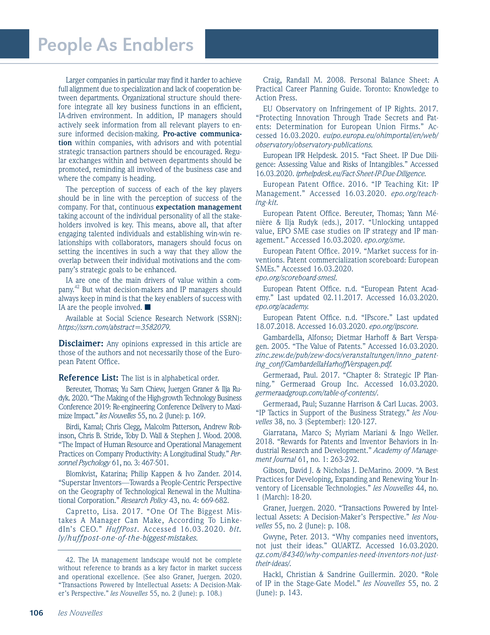Larger companies in particular may find it harder to achieve full alignment due to specialization and lack of cooperation between departments. Organizational structure should therefore integrate all key business functions in an efficient, IA-driven environment. In addition, IP managers should actively seek information from all relevant players to ensure informed decision-making. **Pro-active communication** within companies, with advisors and with potential strategic transaction partners should be encouraged. Regular exchanges within and between departments should be promoted, reminding all involved of the business case and where the company is heading.

The perception of success of each of the key players should be in line with the perception of success of the company. For that, continuous **expectation management**  taking account of the individual personality of all the stakeholders involved is key. This means, above all, that after engaging talented individuals and establishing win-win relationships with collaborators, managers should focus on setting the incentives in such a way that they allow the overlap between their individual motivations and the company's strategic goals to be enhanced.

IA are one of the main drivers of value within a company.42 But what decision-makers and IP managers should always keep in mind is that the key enablers of success with IA are the people involved.  $\blacksquare$ 

Available at Social Science Research Network (SSRN): *https://ssrn.com/abstract=3582079.*

**Disclaimer:** Any opinions expressed in this article are those of the authors and not necessarily those of the European Patent Office.

**Reference List:** The list is in alphabetical order.

Bereuter, Thomas; Yu Sarn Chiew, Juergen Graner & Ilja Rudyk. 2020. "The Making of the High-growth Technology Business Conference 2019: Re-engineering Conference Delivery to Maximize Impact." *les Nouvelles* 55, no. 2 (June): p. 169.

Birdi, Kamal; Chris Clegg, Malcolm Patterson, Andrew Robinson, Chris B. Stride, Toby D. Wall & Stephen J. Wood. 2008. "The Impact of Human Resource and Operational Management Practices on Company Productivity: A Longitudinal Study." *Personnel Psychology* 61, no. 3: 467-501.

Blomkvist, Katarina; Philip Kappen & Ivo Zander. 2014. "Superstar Inventors—Towards a People-Centric Perspective on the Geography of Technological Renewal in the Multinational Corporation." *Research Policy* 43, no. 4: 669-682.

Capretto, Lisa. 2017. "One Of The Biggest Mistakes A Manager Can Make, According To LinkedIn's CEO." *HuffPost*. Accessed 16.03.2020. *[bit.](http://bit.ly/huffpost-one-of-the-biggest-mistakes) [ly/huffpost-one-of-the-biggest-mistakes.](http://bit.ly/huffpost-one-of-the-biggest-mistakes)*

Craig, Randall M. 2008. Personal Balance Sheet: A Practical Career Planning Guide. Toronto: Knowledge to Action Press.

EU Observatory on Infringement of IP Rights. 2017. "Protecting Innovation Through Trade Secrets and Patents: Determination for European Union Firms." Accessed 16.03.2020. *[euipo.europa.eu/ohimportal/en/web/](http://euipo.europa.eu/ohimportal/en/web/observatory/observatory-publications) [observatory/observatory-publications](http://euipo.europa.eu/ohimportal/en/web/observatory/observatory-publications).*

European IPR Helpdesk. 2015. "Fact Sheet. IP Due Diligence: Assessing Value and Risks of Intangibles." Accessed 16.03.2020. *[iprhelpdesk.eu/Fact-Sheet-IP-Due-Diligence](http://iprhelpdesk.eu/Fact-Sheet-IP-Due-Diligence).*

European Patent Office. 2016. "IP Teaching Kit: IP Management." Accessed 16.03.2020. *[epo.org/teach](http://epo.org/teaching-kit)[ing-kit.](http://epo.org/teaching-kit)*

European Patent Office. Bereuter, Thomas; Yann Ménière & Ilja Rudyk (eds.), 2017. "Unlocking untapped value, EPO SME case studies on IP strategy and IP management." Accessed 16.03.2020. *[epo.org/sme.](http://epo.org/sme)*

European Patent Office. 2019. "Market success for inventions. Patent commercialization scoreboard: European SMEs." Accessed 16.03.2020.

*[epo.org/scoreboard-smesl](http://epo.org/scoreboard-smesl).*

European Patent Office. n.d. "European Patent Academy." Last updated 02.11.2017. Accessed 16.03.2020. *[epo.org/academy.](http://epo.org/academy)*

European Patent Office. n.d. "IPscore." Last updated 18.07.2018. Accessed 16.03.2020. *[epo.org/ipscore.](http://epo.org/ipscore)*

Gambardella, Alfonso; Dietmar Harhoff & Bart Verspagen. 2005. "The Value of Patents." Accessed 16.03.2020. *[zinc.zew.de/pub/zew-docs/veranstaltungen/inno\\_patent](http://zinc.zew.de/pub/zew-docs/veranstaltungen/inno_patenting_conf/GambardellaHarhoffVerspagen.pdf)[ing\\_conf/GambardellaHarhoffVerspagen.pdf.](http://zinc.zew.de/pub/zew-docs/veranstaltungen/inno_patenting_conf/GambardellaHarhoffVerspagen.pdf)*

Germeraad, Paul. 2017. "Chapter 8: Strategic IP Planning." Germeraad Group Inc. Accessed 16.03.2020. *[germeraadgroup.com/table-of-contents/](http://germeraadgroup.com/table-of-contents/).*

Germeraad, Paul; Suzanne Harrison & Carl Lucas. 2003. "IP Tactics in Support of the Business Strategy." *les Nouvelles* 38, no. 3 (September): 120-127.

Giarratana, Marco S; Myriam Mariani & Ingo Weller. 2018. "Rewards for Patents and Inventor Behaviors in Industrial Research and Development." *Academy of Management Journal* 61, no. 1: 263-292.

Gibson, David J. & Nicholas J. DeMarino. 2009. "A Best Practices for Developing, Expanding and Renewing Your Inventory of Licensable Technologies." *les Nouvelles* 44, no. 1 (March): 18-20.

Graner, Juergen. 2020. "Transactions Powered by Intellectual Assets: A Decision-Maker's Perspective." *les Nouvelles* 55, no. 2 (June): p. 108.

Gwyne, Peter. 2013. "Why companies need inventors, not just their ideas." QUARTZ. Accessed 16.03.2020. *[qz.com/84340/why-companies-need-inventors-not-just](http://qz.com/84340/why-companies-need-inventors-not-just-their-ideas/)[their-ideas/.](http://qz.com/84340/why-companies-need-inventors-not-just-their-ideas/)*

Hackl, Christian & Sandrine Guillermin. 2020. "Role of IP in the Stage-Gate Model." *les Nouvelles* 55, no. 2 (June): p. 143.

<sup>42.</sup> The IA management landscape would not be complete without reference to brands as a key factor in market success and operational excellence. (See also Graner, Juergen. 2020. "Transactions Powered by Intellectual Assets: A Decision-Maker's Perspective." *les Nouvelles* 55, no. 2 (June): p. 108.)